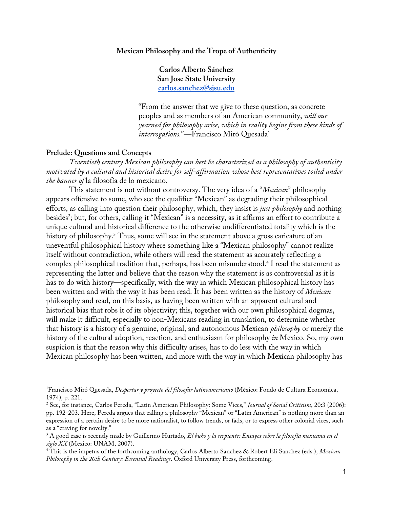# **Mexican Philosophy and the Trope of Authenticity**

**Carlos Alberto Sánchez San Jose State University carlos.sanchez@sjsu.edu** 

"From the answer that we give to these question, as concrete peoples and as members of an American community, *will our yearned for philosophy arise, which in reality begins from these kinds of interrogations.*"—Francisco Miró Quesada<sup>1</sup>

### **Prelude: Questions and Concepts**

*Twentieth century Mexican philosophy can best be characterized as a philosophy of authenticity motivated by a cultural and historical desire for self-affirmation whose best representatives toiled under the banner of* la filosofía de lo mexicano.

This statement is not without controversy. The very idea of a "*Mexican*" philosophy appears offensive to some, who see the qualifier "Mexican" as degrading their philosophical efforts, as calling into question their philosophy, which, they insist is *just philosophy* and nothing besides<sup>2</sup>; but, for others, calling it "Mexican" is a necessity, as it affirms an effort to contribute a unique cultural and historical difference to the otherwise undifferentiated totality which is the history of philosophy. <sup>3</sup> Thus, some will see in the statement above a gross caricature of an uneventful philosophical history where something like a "Mexican philosophy" cannot realize itself without contradiction, while others will read the statement as accurately reflecting a complex philosophical tradition that, perhaps, has been misunderstood.4 I read the statement as representing the latter and believe that the reason why the statement is as controversial as it is has to do with history—specifically, with the way in which Mexican philosophical history has been written and with the way it has been read. It has been written as the history of *Mexican*  philosophy and read, on this basis, as having been written with an apparent cultural and historical bias that robs it of its objectivity; this, together with our own philosophical dogmas, will make it difficult, especially to non-Mexicans reading in translation, to determine whether that history is a history of a genuine, original, and autonomous Mexican *philosophy* or merely the history of the cultural adoption, reaction, and enthusiasm for philosophy *in* Mexico. So, my own suspicion is that the reason why this difficulty arises, has to do less with the way in which Mexican philosophy has been written, and more with the way in which Mexican philosophy has

<sup>1</sup> Francisco Miró Quesada, *Despertar y proyecto del filosofar latinoamericano* (México: Fondo de Cultura Economica, 1974), p. 221.

<sup>2</sup> See, for instance, Carlos Pereda, "Latin American Philosophy: Some Vices," *Journal of Social Criticism*, 20:3 (2006): pp. 192-203. Here, Pereda argues that calling a philosophy "Mexican" or "Latin American" is nothing more than an expression of a certain desire to be more nationalist, to follow trends, or fads, or to express other colonial vices, such as a "craving for novelty."

<sup>3</sup> A good case is recently made by Guillermo Hurtado, *El buho y la serpiente: Ensayos sobre la filosofía mexicana en el siglo XX* (Mexico: UNAM, 2007). 4 This is the impetus of the forthcoming anthology, Carlos Alberto Sanchez & Robert Eli Sanchez (eds.), *Mexican* 

*Philosophy in the 20th Century: Essential Readings*. Oxford University Press, forthcoming.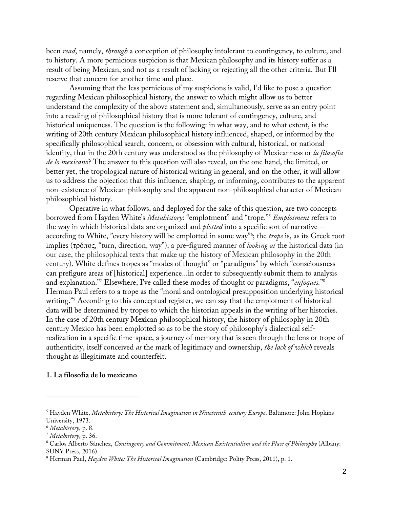been *read*, namely, *through* a conception of philosophy intolerant to contingency, to culture, and to history. A more pernicious suspicion is that Mexican philosophy and its history suffer as a result of being Mexican, and not as a result of lacking or rejecting all the other criteria. But I'll reserve that concern for another time and place.

Assuming that the less pernicious of my suspicions is valid, I'd like to pose a question regarding Mexican philosophical history, the answer to which might allow us to better understand the complexity of the above statement and, simultaneously, serve as an entry point into a reading of philosophical history that is more tolerant of contingency, culture, and historical uniqueness. The question is the following: in what way, and to what extent, is the writing of 20th century Mexican philosophical history influenced, shaped, or informed by the specifically philosophical search, concern, or obsession with cultural, historical, or national identity, that in the 20th century was understood as the philosophy of Mexicanness or *la filosofia de lo mexicano*? The answer to this question will also reveal, on the one hand, the limited, or better yet, the tropological nature of historical writing in general, and on the other, it will allow us to address the objection that this influence, shaping, or informing, contributes to the apparent non-existence of Mexican philosophy and the apparent non-philosophical character of Mexican philosophical history.

Operative in what follows, and deployed for the sake of this question, are two concepts borrowed from Hayden White's *Metahistory*: "emplotment" and "trope."5 *Emplotment* refers to the way in which historical data are organized and *plotted* into a specific sort of narrative according to White, "every history will be emplotted in some way"6 ; the *trope* is, as its Greek root implies (τρόπος, "turn, direction, way"), a pre-figured manner of *looking at* the historical data (in our case, the philosophical texts that make up the history of Mexican philosophy in the 20th century). White defines tropes as "modes of thought" or "paradigms" by which "consciousness can prefigure areas of [historical] experience...in order to subsequently submit them to analysis and explanation."7 Elsewhere, I've called these modes of thought or paradigms, "*enfoques.*"8 Herman Paul refers to a trope as the "moral and ontological presupposition underlying historical writing."<sup>9</sup> According to this conceptual register, we can say that the emplotment of historical data will be determined by tropes to which the historian appeals in the writing of her histories. In the case of 20th century Mexican philosophical history, the history of philosophy in 20th century Mexico has been emplotted so as to be the story of philosophy's dialectical selfrealization in a specific time-space, a journey of memory that is seen through the lens or trope of authenticity, itself conceived *as* the mark of legitimacy and ownership, *the lack of which* reveals thought as illegitimate and counterfeit.

#### **1. La filosofia de lo mexicano**

<sup>5</sup> Hayden White, *Metahistory: The Historical Imagination in Nineteenth-century Europe*. Baltimore: John Hopkins University, 1973.

<sup>&</sup>lt;sup>6</sup> Metahistory, p. 8.<br><sup>7</sup> Metahistory, p. 36.<br><sup>8</sup> Carlos Alberto Sánchez, *Contingency and Commitment: Mexican Existentialism and the Place of Philosophy (Albany:* SUNY Press, 2016).

<sup>9</sup> Herman Paul, *Hayden White: The Historical Imagination* (Cambridge: Polity Press, 2011), p. 1.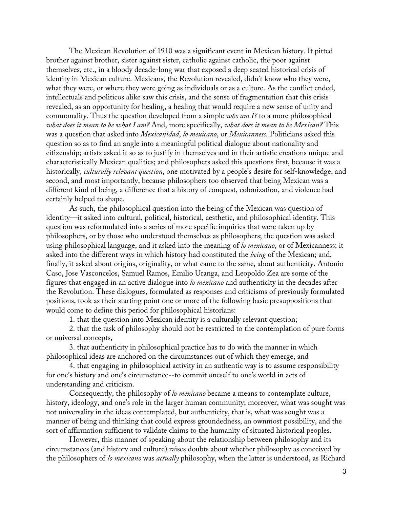The Mexican Revolution of 1910 was a significant event in Mexican history. It pitted brother against brother, sister against sister, catholic against catholic, the poor against themselves, etc., in a bloody decade-long war that exposed a deep seated historical crisis of identity in Mexican culture. Mexicans, the Revolution revealed, didn't know who they were, what they were, or where they were going as individuals or as a culture. As the conflict ended, intellectuals and politicos alike saw this crisis, and the sense of fragmentation that this crisis revealed, as an opportunity for healing, a healing that would require a new sense of unity and commonality. Thus the question developed from a simple *who am I?* to a more philosophical *what does it mean to be what I am?* And, more specifically, *what does it mean to be Mexican?* This was a question that asked into *Mexicanidad*, *lo mexicano*, or *Mexicanness*. Politicians asked this question so as to find an angle into a meaningful political dialogue about nationality and citizenship; artists asked it so as to justify in themselves and in their artistic creations unique and characteristically Mexican qualities; and philosophers asked this questions first, because it was a historically, *culturally relevant question*, one motivated by a people's desire for self-knowledge, and second, and most importantly, because philosophers too observed that being Mexican was a different kind of being, a difference that a history of conquest, colonization, and violence had certainly helped to shape.

As such, the philosophical question into the being of the Mexican was question of identity—it asked into cultural, political, historical, aesthetic, and philosophical identity. This question was reformulated into a series of more specific inquiries that were taken up by philosophers, or by those who understood themselves as philosophers; the question was asked using philosophical language, and it asked into the meaning of *lo mexicano*, or of Mexicanness; it asked into the different ways in which history had constituted the *being* of the Mexican; and, finally, it asked about origins, originality, or what came to the same, about authenticity. Antonio Caso, Jose Vasconcelos, Samuel Ramos, Emilio Uranga, and Leopoldo Zea are some of the figures that engaged in an active dialogue into *lo mexicano* and authenticity in the decades after the Revolution. These dialogues, formulated as responses and criticisms of previously formulated positions, took as their starting point one or more of the following basic presuppositions that would come to define this period for philosophical historians:

1. that the question into Mexican identity is a culturally relevant question;

2. that the task of philosophy should not be restricted to the contemplation of pure forms or universal concepts,

3. that authenticity in philosophical practice has to do with the manner in which philosophical ideas are anchored on the circumstances out of which they emerge, and

4. that engaging in philosophical activity in an authentic way is to assume responsibility for one's history and one's circumstance--to commit oneself to one's world in acts of understanding and criticism.

Consequently, the philosophy of *lo mexicano* became a means to contemplate culture, history, ideology, and one's role in the larger human community; moreover, what was sought was not universality in the ideas contemplated, but authenticity, that is, what was sought was a manner of being and thinking that could express groundedness, an ownmost possibility, and the sort of affirmation sufficient to validate claims to the humanity of situated historical peoples.

However, this manner of speaking about the relationship between philosophy and its circumstances (and history and culture) raises doubts about whether philosophy as conceived by the philosophers of *lo mexicano* was *actually* philosophy, when the latter is understood, as Richard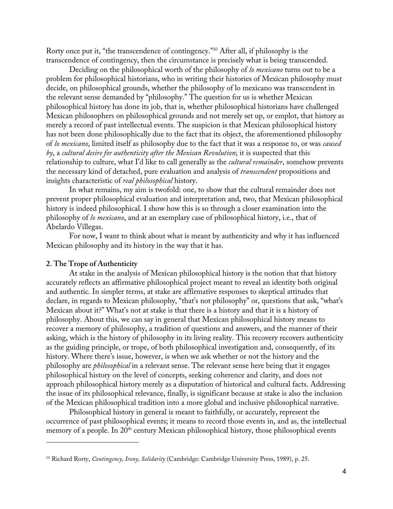Rorty once put it, "the transcendence of contingency."10 After all, if philosophy is the transcendence of contingency, then the circumstance is precisely what is being transcended.

Deciding on the philosophical worth of the philosophy of *lo mexicano* turns out to be a problem for philosophical historians, who in writing their histories of Mexican philosophy must decide, on philosophical grounds, whether the philosophy of lo mexicano was transcendent in the relevant sense demanded by "philosophy." The question for us is whether Mexican philosophical history has done its job, that is, whether philosophical historians have challenged Mexican philosophers on philosophical grounds and not merely set up, or emplot, that history as merely a record of past intellectual events. The suspicion is that Mexican philosophical history has not been done philosophically due to the fact that its object, the aforementioned philosophy of *lo mexicano*, limited itself as philosophy due to the fact that it was a response to, or was *caused by*, a *cultural desire for authenticity after the Mexican Revolution*; it is suspected that this relationship to culture, what I'd like to call generally as the *cultural remainder*, somehow prevents the necessary kind of detached, pure evaluation and analysis of *transcendent* propositions and insights characteristic of *real philosophical* history.

In what remains, my aim is twofold: one, to show that the cultural remainder does not prevent proper philosophical evaluation and interpretation and, two, that Mexican philosophical history is indeed philosophical. I show how this is so through a closer examination into the philosophy of *lo mexicano*, and at an exemplary case of philosophical history, i.e., that of Abelardo Villegas.

For now, I want to think about what is meant by authenticity and why it has influenced Mexican philosophy and its history in the way that it has.

### **2. The Trope of Authenticity**

At stake in the analysis of Mexican philosophical history is the notion that that history accurately reflects an affirmative philosophical project meant to reveal an identity both original and authentic. In simpler terms, at stake are affirmative responses to skeptical attitudes that declare, in regards to Mexican philosophy, "that's not philosophy" or, questions that ask, "what's Mexican about it?" What's not at stake is that there is a history and that it is a history of philosophy. About this, we can say in general that Mexican philosophical history means to recover a memory of philosophy, a tradition of questions and answers, and the manner of their asking, which is the history of philosophy in its living reality. This recovery recovers authenticity as the guiding principle, or trope, of both philosophical investigation and, consequently, of its history. Where there's issue, however, is when we ask whether or not the history and the philosophy are *philosophical* in a relevant sense. The relevant sense here being that it engages philosophical history on the level of concepts, seeking coherence and clarity, and does not approach philosophical history merely as a disputation of historical and cultural facts. Addressing the issue of its philosophical relevance, finally, is significant because at stake is also the inclusion of the Mexican philosophical tradition into a more global and inclusive philosophical narrative.

Philosophical history in general is meant to faithfully, or accurately, represent the occurrence of past philosophical events; it means to record those events in, and as, the intellectual memory of a people. In 20<sup>th</sup> century Mexican philosophical history, those philosophical events

<sup>10</sup> Richard Rorty, *Contingency, Irony, Solidarity* (Cambridge: Cambridge University Press, 1989), p. 25.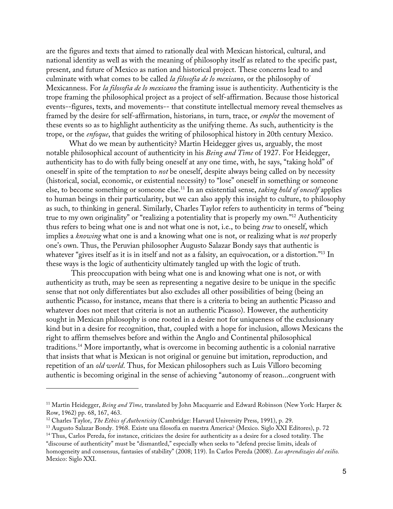are the figures and texts that aimed to rationally deal with Mexican historical, cultural, and national identity as well as with the meaning of philosophy itself as related to the specific past, present, and future of Mexico as nation and historical project. These concerns lead to and culminate with what comes to be called *la filosofia de lo mexicano*, or the philosophy of Mexicanness. For *la filosofia de lo mexicano* the framing issue is authenticity. Authenticity is the trope framing the philosophical project as a project of self-affirmation. Because those historical events--figures, texts, and movements-- that constitute intellectual memory reveal themselves as framed by the desire for self-affirmation, historians, in turn, trace, or *emplot* the movement of these events so as to highlight authenticity as the unifying theme. As such, authenticity is the trope, or the *enfoque*, that guides the writing of philosophical history in 20th century Mexico.

What do we mean by authenticity? Martin Heidegger gives us, arguably, the most notable philosophical account of authenticity in his *Being and Time* of 1927. For Heidegger, authenticity has to do with fully being oneself at any one time, with, he says, "taking hold" of oneself in spite of the temptation to *not* be oneself, despite always being called on by necessity (historical, social, economic, or existential necessity) to "lose" oneself in something or someone else, to become something or someone else. <sup>11</sup> In an existential sense, *taking hold of oneself* applies to human beings in their particularity, but we can also apply this insight to culture, to philosophy as such, to thinking in general. Similarly, Charles Taylor refers to authenticity in terms of "being true to my own originality" or "realizing a potentiality that is properly my own."12 Authenticity thus refers to being what one is and not what one is not, i.e., to being *true* to oneself, which implies a *knowing* what one is and a knowing what one is not, or realizing what is *not* properly one's own. Thus, the Peruvian philosopher Augusto Salazar Bondy says that authentic is whatever "gives itself as it is in itself and not as a falsity, an equivocation, or a distortion."13 In these ways is the logic of authenticity ultimately tangled up with the logic of truth.

This preoccupation with being what one is and knowing what one is not, or with authenticity as truth, may be seen as representing a negative desire to be unique in the specific sense that not only differentiates but also excludes all other possibilities of being (being an authentic Picasso, for instance, means that there is a criteria to being an authentic Picasso and whatever does not meet that criteria is not an authentic Picasso). However, the authenticity sought in Mexican philosophy is one rooted in a desire not for uniqueness of the exclusionary kind but in a desire for recognition, that, coupled with a hope for inclusion, allows Mexicans the right to affirm themselves before and within the Anglo and Continental philosophical traditions. <sup>14</sup> More importantly, what is overcome in becoming authentic is a colonial narrative that insists that what is Mexican is not original or genuine but imitation, reproduction, and repetition of an *old world*. Thus, for Mexican philosophers such as Luis Villoro becoming authentic is becoming original in the sense of achieving "autonomy of reason...congruent with

<sup>11</sup> Martin Heidegger, *Being and Time*, translated by John Macquarrie and Edward Robinson (New York: Harper & Row, 1962) pp. 68, 167, 463.

<sup>&</sup>lt;sup>12</sup> Charles Taylor, *The Ethics of Authenticity* (Cambridge: Harvard University Press, 1991), p. 29.<br><sup>13</sup> Augusto Salazar Bondy. 1968. Existe una filosofia en nuestra America? (Mexico. Siglo XXI Editores), p. 72

<sup>14</sup> Thus, Carlos Pereda, for instance, criticizes the desire for authenticity as a desire for a closed totality. The "discourse of authenticity" must be "dismantled," especially when seeks to "defend precise limits, ideals of homogeneity and consensus, fantasies of stability" (2008; 119). In Carlos Pereda (2008). *Los aprendizajes del exilio.*  Mexico: Siglo XXI.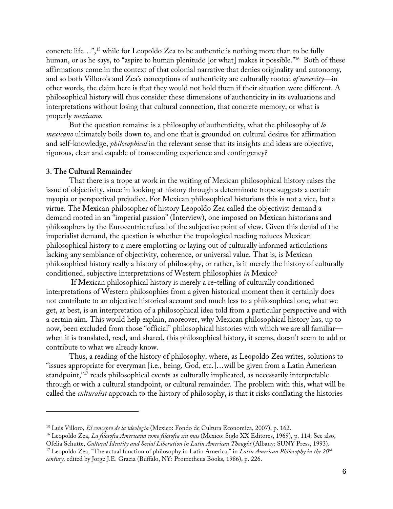concrete life...",<sup>15</sup> while for Leopoldo Zea to be authentic is nothing more than to be fully human, or as he says, to "aspire to human plenitude [or what] makes it possible."<sup>16</sup> Both of these affirmations come in the context of that colonial narrative that denies originality and autonomy, and so both Villoro's and Zea's conceptions of authenticity are culturally rooted *of necessity—*in other words, the claim here is that they would not hold them if their situation were different. A philosophical history will thus consider these dimensions of authenticity in its evaluations and interpretations without losing that cultural connection, that concrete memory, or what is properly *mexicano*.

But the question remains: is a philosophy of authenticity, what the philosophy of *lo mexicano* ultimately boils down to, and one that is grounded on cultural desires for affirmation and self-knowledge, *philosophical* in the relevant sense that its insights and ideas are objective, rigorous, clear and capable of transcending experience and contingency?

#### **3. The Cultural Remainder**

That there is a trope at work in the writing of Mexican philosophical history raises the issue of objectivity, since in looking at history through a determinate trope suggests a certain myopia or perspectival prejudice. For Mexican philosophical historians this is not a vice, but a virtue. The Mexican philosopher of history Leopoldo Zea called the objectivist demand a demand rooted in an "imperial passion" (Interview), one imposed on Mexican historians and philosophers by the Eurocentric refusal of the subjective point of view. Given this denial of the imperialist demand, the question is whether the tropological reading reduces Mexican philosophical history to a mere emplotting or laying out of culturally informed articulations lacking any semblance of objectivity, coherence, or universal value. That is, is Mexican philosophical history really a history of philosophy, or rather, is it merely the history of culturally conditioned, subjective interpretations of Western philosophies *in* Mexico?

If Mexican philosophical history is merely a re-telling of culturally conditioned interpretations of Western philosophies from a given historical moment then it certainly does not contribute to an objective historical account and much less to a philosophical one; what we get, at best, is an interpretation of a philosophical idea told from a particular perspective and with a certain aim. This would help explain, moreover, why Mexican philosophical history has, up to now, been excluded from those "official" philosophical histories with which we are all familiar when it is translated, read, and shared, this philosophical history, it seems, doesn't seem to add or contribute to what we already know.

Thus, a reading of the history of philosophy, where, as Leopoldo Zea writes, solutions to "issues appropriate for everyman [i.e., being, God, etc.]…will be given from a Latin American standpoint,"<sup>17</sup> reads philosophical events as culturally implicated, as necessarily interpretable through or with a cultural standpoint, or cultural remainder. The problem with this, what will be called the *culturalist* approach to the history of philosophy, is that it risks conflating the histories

<sup>&</sup>lt;sup>15</sup> Luis Villoro, *El concepto de la ideologia* (Mexico: Fondo de Cultura Economica, 2007), p. 162.<br><sup>16</sup> Leopoldo Zea, *La filosofia Americana como filosofia sin mas* (Mexico: Siglo XX Editores, 1969), p. 114. See also,

Ofelia Schutte, *Cultural Identity and Social Liberation in Latin American Thought* (Albany: SUNY Press, 1993).<br><sup>17</sup> Leopoldo Zea, "The actual function of philosophy in Latin America," in *Latin American Philosophy in the* 

*century,* edited by Jorge J.E. Gracia (Buffalo, NY: Prometheus Books, 1986), p. 226.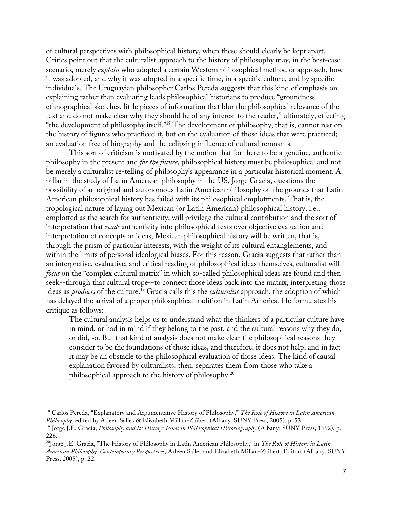of cultural perspectives with philosophical history, when these should clearly be kept apart. Critics point out that the culturalist approach to the history of philosophy may, in the best-case scenario, merely *explain* who adopted a certain Western philosophical method or approach, how it was adopted, and why it was adopted in a specific time, in a specific culture, and by specific individuals. The Uruguayian philosopher Carlos Pereda suggests that this kind of emphasis on explaining rather than evaluating leads philosophical historians to produce "groundness ethnographical sketches, little pieces of information that blur the philosophical relevance of the text and do not make clear why they should be of any interest to the reader," ultimately, effecting "the development of philosophy itself."18 The development of philosophy, that is, cannot rest on the history of figures who practiced it, but on the evaluation of those ideas that were practiced; an evaluation free of biography and the eclipsing influence of cultural remnants.

This sort of criticism is motivated by the notion that for there to be a genuine, authentic philosophy in the present and *for the future*, philosophical history must be philosophical and not be merely a culturalist re-telling of philosophy's appearance in a particular historical moment. A pillar in the study of Latin American philosophy in the US, Jorge Gracia, questions the possibility of an original and autonomous Latin American philosophy on the grounds that Latin American philosophical history has failed with its philosophical emplotments. That is, the tropological nature of laying out Mexican (or Latin American) philosophical history, i.e., emplotted as the search for authenticity, will privilege the cultural contribution and the sort of interpretation that *reads* authenticity into philosophical texts over objective evaluation and interpretation of concepts or ideas; Mexican philosophical history will be written, that is, through the prism of particular interests, with the weight of its cultural entanglements, and within the limits of personal ideological biases. For this reason, Gracia suggests that rather than an interpretive, evaluative, and critical reading of philosophical ideas themselves, culturalist will *focus* on the "complex cultural matrix" in which so-called philosophical ideas are found and then seek--through that cultural trope--to connect those ideas back into the matrix, interpreting those ideas as *products* of the culture. <sup>19</sup> Gracia calls this the *culturalist* approach, the adoption of which has delayed the arrival of a proper philosophical tradition in Latin America. He formulates his critique as follows:

The cultural analysis helps us to understand what the thinkers of a particular culture have in mind, or had in mind if they belong to the past, and the cultural reasons why they do, or did, so. But that kind of analysis does not make clear the philosophical reasons they consider to be the foundations of those ideas, and therefore, it does not help, and in fact it may be an obstacle to the philosophical evaluation of those ideas. The kind of causal explanation favored by culturalists, then, separates them from those who take a philosophical approach to the history of philosophy.20

<sup>18</sup> Carlos Pereda, "Explanatory and Argumentative History of Philosophy," *The Role of History in Latin American Philosophy*, edited by Arleen Salles & Elizabeth Millán-Zaibert (Albany: SUNY Press, 2005), p. 53.<br><sup>19</sup> Jorge J.E. Gracia, *Philosophy and Its History: Issues in Philosophical Historiography* (Albany: SUNY Press, 1992), p

<sup>226.</sup>

<sup>20</sup>Jorge J.E. Gracia, "The History of Philosophy in Latin American Philosophy," in *The Role of History in Latin American Philosophy: Contemporary Perspectives*, Arleen Salles and Elizabeth Millan-Zaibert, Editors (Albany: SUNY Press, 2005), p. 22.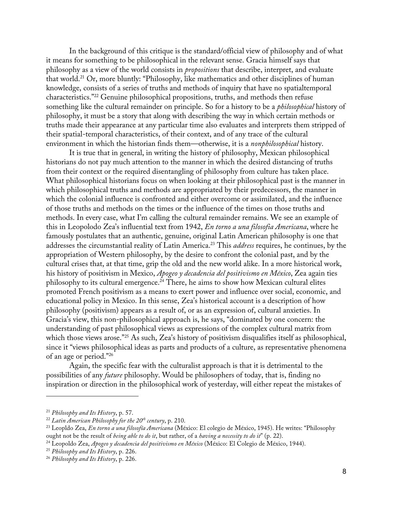In the background of this critique is the standard/official view of philosophy and of what it means for something to be philosophical in the relevant sense. Gracia himself says that philosophy as a view of the world consists in *propositions* that describe, interpret, and evaluate that world. <sup>21</sup> Or, more bluntly: "Philosophy, like mathematics and other disciplines of human knowledge, consists of a series of truths and methods of inquiry that have no spatialtemporal characteristics."22 Genuine philosophical propositions, truths, and methods then refuse something like the cultural remainder on principle. So for a history to be a *philosophical* history of philosophy, it must be a story that along with describing the way in which certain methods or truths made their appearance at any particular time also evaluates and interprets them stripped of their spatial-temporal characteristics, of their context, and of any trace of the cultural environment in which the historian finds them—otherwise, it is a *nonphilosophical* history.

It is true that in general, in writing the history of philosophy, Mexican philosophical historians do not pay much attention to the manner in which the desired distancing of truths from their context or the required disentangling of philosophy from culture has taken place. What philosophical historians focus on when looking at their philosophical past is the manner in which philosophical truths and methods are appropriated by their predecessors, the manner in which the colonial influence is confronted and either overcome or assimilated, and the influence of those truths and methods on the times or the influence of the times on those truths and methods. In every case, what I'm calling the cultural remainder remains. We see an example of this in Leopolodo Zea's influential text from 1942, *En torno a una filosofia Americana*, where he famously postulates that an authentic, genuine, original Latin American philosophy is one that addresses the circumstantial reality of Latin America.23 This *address* requires, he continues, by the appropriation of Western philosophy, by the desire to confront the colonial past, and by the cultural crises that, at that time, grip the old and the new world alike. In a more historical work, his history of positivism in Mexico, *Apogeo y decadencia del positivismo en México*, Zea again ties philosophy to its cultural emergence.<sup>24</sup> There, he aims to show how Mexican cultural elites promoted French positivism as a means to exert power and influence over social, economic, and educational policy in Mexico. In this sense, Zea's historical account is a description of how philosophy (positivism) appears as a result of, or as an expression of, cultural anxieties. In Gracia's view, this non-philosophical approach is, he says, "dominated by one concern: the understanding of past philosophical views as expressions of the complex cultural matrix from which those views arose."<sup>25</sup> As such, Zea's history of positivism disqualifies itself as philosophical, since it "views philosophical ideas as parts and products of a culture, as representative phenomena of an age or period."26

Again, the specific fear with the culturalist approach is that it is detrimental to the possibilities of any *future* philosophy. Would be philosophers of today, that is, finding no inspiration or direction in the philosophical work of yesterday, will either repeat the mistakes of

<sup>&</sup>lt;sup>21</sup> Philosophy and Its History, p. 57.<br><sup>22</sup> Latin American Philosophy for the 20<sup>th</sup> century, p. 210.<br><sup>23</sup> Leopldo Zea, En torno a una filosofía Americana (México: El colegio de México, 1945). He writes: "Philosophy ought not be the result of *being able to do it*, but rather, of a *having a necessity to do it*" (p. 22).<br><sup>24</sup> Leopoldo Zea, *Apogeo y decadencia del positivismo en México* (México: El Colegio de México, 1944).<br><sup>25</sup> Philo

<sup>26</sup> *Philosophy and Its History*, p. 226.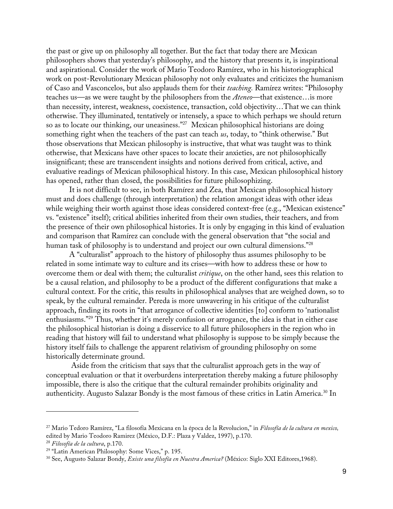the past or give up on philosophy all together. But the fact that today there are Mexican philosophers shows that yesterday's philosophy, and the history that presents it, is inspirational and aspirational. Consider the work of Mario Teodoro Ramírez, who in his historiographical work on post-Revolutionary Mexican philosophy not only evaluates and criticizes the humanism of Caso and Vasconcelos, but also applauds them for their *teaching.* Ramírez writes: "Philosophy teaches us—as we were taught by the philosophers from the *Ateneo*—that existence…is more than necessity, interest, weakness, coexistence, transaction, cold objectivity…That we can think otherwise. They illuminated, tentatively or intensely, a space to which perhaps we should return so as to locate our thinking, our uneasiness."27 Mexican philosophical historians are doing something right when the teachers of the past can teach *us*, today, to "think otherwise." But those observations that Mexican philosophy is instructive, that what was taught was to think otherwise, that Mexicans have other spaces to locate their anxieties, are not philosophically insignificant; these are transcendent insights and notions derived from critical, active, and evaluative readings of Mexican philosophical history. In this case, Mexican philosophical history has opened, rather than closed, the possibilities for future philosophizing.

It is not difficult to see, in both Ramírez and Zea, that Mexican philosophical history must and does challenge (through interpretation) the relation amongst ideas with other ideas while weighing their worth against those ideas considered context-free (e.g., "Mexican existence" vs. "existence" itself); critical abilities inherited from their own studies, their teachers, and from the presence of their own philosophical histories. It is only by engaging in this kind of evaluation and comparison that Ramírez can conclude with the general observation that "the social and human task of philosophy is to understand and project our own cultural dimensions."<sup>28</sup>

A "culturalist" approach to the history of philosophy thus assumes philosophy to be related in some intimate way to culture and its crises—with how to address these or how to overcome them or deal with them; the culturalist *critique*, on the other hand, sees this relation to be a causal relation, and philosophy to be a product of the different configurations that make a cultural context. For the critic, this results in philosophical analyses that are weighed down, so to speak, by the cultural remainder. Pereda is more unwavering in his critique of the culturalist approach, finding its roots in "that arrogance of collective identities [to] conform to 'nationalist enthusiasms."<sup>29</sup> Thus, whether it's merely confusion or arrogance, the idea is that in either case the philosophical historian is doing a disservice to all future philosophers in the region who in reading that history will fail to understand what philosophy is suppose to be simply because the history itself fails to challenge the apparent relativism of grounding philosophy on some historically determinate ground.

Aside from the criticism that says that the culturalist approach gets in the way of conceptual evaluation or that it overburdens interpretation thereby making a future philosophy impossible, there is also the critique that the cultural remainder prohibits originality and authenticity. Augusto Salazar Bondy is the most famous of these critics in Latin America.30 In

<sup>27</sup> Mario Tedoro Ramírez, "La filosofía Mexicana en la época de la Revolucion," in *Filosofía de la cultura en mexico,*  edited by Mario Teodoro Ramirez (México, D.F.: Plaza y Valdez, 1997), p.170. 28 *Filosofía de la cultura*, p.170.

<sup>&</sup>lt;sup>29</sup> "Latin American Philosophy: Some Vices," p. 195.

<sup>30</sup> See, Augusto Salazar Bondy, *Existe una filsofía en Nuestra America?* (México: Siglo XXI Editores,1968).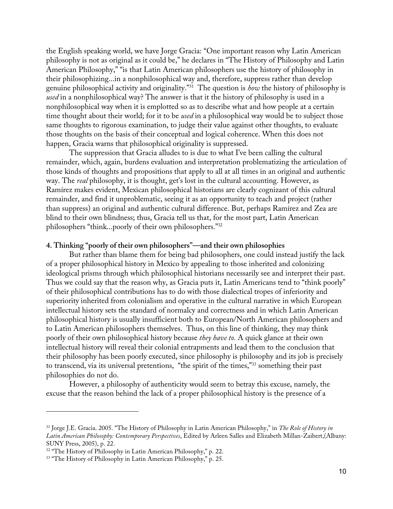the English speaking world, we have Jorge Gracia: "One important reason why Latin American philosophy is not as original as it could be," he declares in "The History of Philosophy and Latin American Philosophy," "is that Latin American philosophers use the history of philosophy in their philosophizing...in a nonphilosophical way and, therefore, suppress rather than develop genuine philosophical activity and originality."31 The question is *how* the history of philosophy is *used* in a nonphilosophical way? The answer is that it the history of philosophy is used in a nonphilosophical way when it is emplotted so as to describe what and how people at a certain time thought about their world; for it to be *used* in a philosophical way would be to subject those same thoughts to rigorous examination, to judge their value against other thoughts, to evaluate those thoughts on the basis of their conceptual and logical coherence. When this does not happen, Gracia warns that philosophical originality is suppressed.

The suppression that Gracia alludes to is due to what I've been calling the cultural remainder, which, again, burdens evaluation and interpretation problematizing the articulation of those kinds of thoughts and propositions that apply to all at all times in an original and authentic way. The *real* philosophy, it is thought, get's lost in the cultural accounting. However, as Ramírez makes evident, Mexican philosophical historians are clearly cognizant of this cultural remainder, and find it unproblematic, seeing it as an opportunity to teach and project (rather than suppress) an original and authentic cultural difference. But, perhaps Ramírez and Zea are blind to their own blindness; thus, Gracia tell us that, for the most part, Latin American philosophers "think...poorly of their own philosophers."32

### **4. Thinking "poorly of their own philosophers"—and their own philosophies**

But rather than blame them for being bad philosophers, one could instead justify the lack of a proper philosophical history in Mexico by appealing to those inherited and colonizing ideological prisms through which philosophical historians necessarily see and interpret their past. Thus we could say that the reason why, as Gracia puts it, Latin Americans tend to "think poorly" of their philosophical contributions has to do with those dialectical tropes of inferiority and superiority inherited from colonialism and operative in the cultural narrative in which European intellectual history sets the standard of normalcy and correctness and in which Latin American philosophical history is usually insufficient both to European/North American philosophers and to Latin American philosophers themselves. Thus, on this line of thinking, they may think poorly of their own philosophical history because *they have to.* A quick glance at their own intellectual history will reveal their colonial entrapments and lead them to the conclusion that their philosophy has been poorly executed, since philosophy is philosophy and its job is precisely to transcend, via its universal pretentions, "the spirit of the times,"33 something their past philosophies do not do.

However, a philosophy of authenticity would seem to betray this excuse, namely, the excuse that the reason behind the lack of a proper philosophical history is the presence of a

<sup>31</sup> Jorge J.E. Gracia. 2005. "The History of Philosophy in Latin American Philosophy," in *The Role of History in Latin American Philosophy: Contemporary Perspectives*, Edited by Arleen Salles and Elizabeth Millan-Zaibert,(Albany: SUNY Press, 2005), p. 22.<br><sup>32</sup> "The History of Philosophy in Latin American Philosophy," p. 22.<br><sup>33</sup> "The History of Philosophy in Latin American Philosophy," p. 25.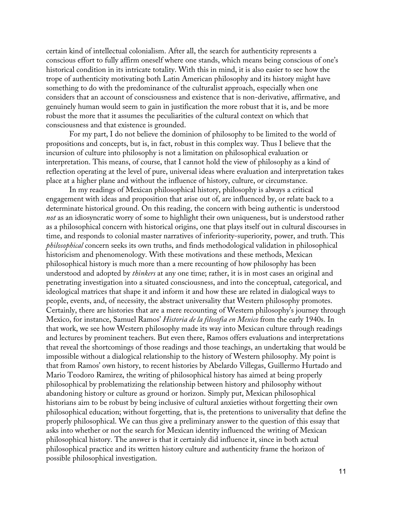certain kind of intellectual colonialism. After all, the search for authenticity represents a conscious effort to fully affirm oneself where one stands, which means being conscious of one's historical condition in its intricate totality. With this in mind, it is also easier to see how the trope of authenticity motivating both Latin American philosophy and its history might have something to do with the predominance of the culturalist approach, especially when one considers that an account of consciousness and existence that is non-derivative, affirmative, and genuinely human would seem to gain in justification the more robust that it is, and be more robust the more that it assumes the peculiarities of the cultural context on which that consciousness and that existence is grounded.

For my part, I do not believe the dominion of philosophy to be limited to the world of propositions and concepts, but is, in fact, robust in this complex way. Thus I believe that the incursion of culture into philosophy is not a limitation on philosophical evaluation or interpretation. This means, of course, that I cannot hold the view of philosophy as a kind of reflection operating at the level of pure, universal ideas where evaluation and interpretation takes place at a higher plane and without the influence of history, culture, or circumstance.

In my readings of Mexican philosophical history, philosophy is always a critical engagement with ideas and proposition that arise out of, are influenced by, or relate back to a determinate historical ground. On this reading, the concern with being authentic is understood *not* as an idiosyncratic worry of some to highlight their own uniqueness, but is understood rather as a philosophical concern with historical origins, one that plays itself out in cultural discourses in time, and responds to colonial master narratives of inferiority-superiority, power, and truth. This *philosophical* concern seeks its own truths, and finds methodological validation in philosophical historicism and phenomenology. With these motivations and these methods, Mexican philosophical history is much more than a mere recounting of how philosophy has been understood and adopted by *thinkers* at any one time; rather, it is in most cases an original and penetrating investigation into a situated consciousness, and into the conceptual, categorical, and ideological matrices that shape it and inform it and how these are related in dialogical ways to people, events, and, of necessity, the abstract universality that Western philosophy promotes. Certainly, there are histories that are a mere recounting of Western philosophy's journey through Mexico, for instance, Samuel Ramos' *Historia de la filosofia en Mexico* from the early 1940s. In that work, we see how Western philosophy made its way into Mexican culture through readings and lectures by prominent teachers. But even there, Ramos offers evaluations and interpretations that reveal the shortcomings of those readings and those teachings, an undertaking that would be impossible without a dialogical relationship to the history of Western philosophy. My point is that from Ramos' own history, to recent histories by Abelardo Villegas, Guillermo Hurtado and Mario Teodoro Ramirez, the writing of philosophical history has aimed at being properly philosophical by problematizing the relationship between history and philosophy without abandoning history or culture as ground or horizon. Simply put, Mexican philosophical historians aim to be robust by being inclusive of cultural anxieties without forgetting their own philosophical education; without forgetting, that is, the pretentions to universality that define the properly philosophical. We can thus give a preliminary answer to the question of this essay that asks into whether or not the search for Mexican identity influenced the writing of Mexican philosophical history. The answer is that it certainly did influence it, since in both actual philosophical practice and its written history culture and authenticity frame the horizon of possible philosophical investigation.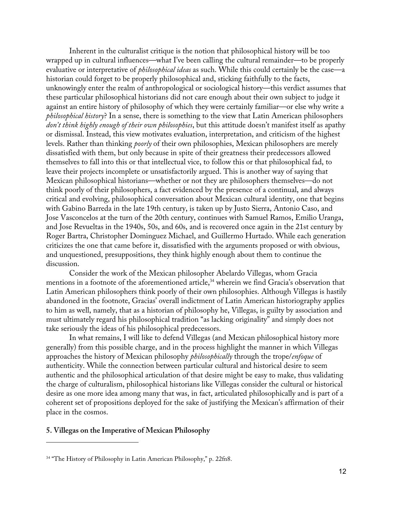Inherent in the culturalist critique is the notion that philosophical history will be too wrapped up in cultural influences—what I've been calling the cultural remainder—to be properly evaluative or interpretative of *philosophical ideas* as such. While this could certainly be the case—a historian could forget to be properly philosophical and, sticking faithfully to the facts, unknowingly enter the realm of anthropological or sociological history—this verdict assumes that these particular philosophical historians did not care enough about their own subject to judge it against an entire history of philosophy of which they were certainly familiar—or else why write a *philosophical history*? In a sense, there is something to the view that Latin American philosophers *don't think highly enough of their own philosophies*, but this attitude doesn't manifest itself as apathy or dismissal. Instead, this view motivates evaluation, interpretation, and criticism of the highest levels. Rather than thinking *poorly* of their own philosophies, Mexican philosophers are merely dissatisfied with them, but only because in spite of their greatness their predecessors allowed themselves to fall into this or that intellectual vice, to follow this or that philosophical fad, to leave their projects incomplete or unsatisfactorily argued. This is another way of saying that Mexican philosophical historians—whether or not they are philosophers themselves—do not think poorly of their philosophers, a fact evidenced by the presence of a continual, and always critical and evolving, philosophical conversation about Mexican cultural identity, one that begins with Gabino Barreda in the late 19th century, is taken up by Justo Sierra, Antonio Caso, and Jose Vasconcelos at the turn of the 20th century, continues with Samuel Ramos, Emilio Uranga, and Jose Revueltas in the 1940s, 50s, and 60s, and is recovered once again in the 21st century by Roger Bartra, Christopher Dominguez Michael, and Guillermo Hurtado. While each generation criticizes the one that came before it, dissatisfied with the arguments proposed or with obvious, and unquestioned, presuppositions, they think highly enough about them to continue the discussion.

Consider the work of the Mexican philosopher Abelardo Villegas, whom Gracia mentions in a footnote of the aforementioned article, <sup>34</sup> wherein we find Gracia's observation that Latin American philosophers think poorly of their own philosophies. Although Villegas is hastily abandoned in the footnote, Gracias' overall indictment of Latin American historiography applies to him as well, namely, that as a historian of philosophy he, Villegas, is guilty by association and must ultimately regard his philosophical tradition "as lacking originality" and simply does not take seriously the ideas of his philosophical predecessors.

In what remains, I will like to defend Villegas (and Mexican philosophical history more generally) from this possible charge, and in the process highlight the manner in which Villegas approaches the history of Mexican philosophy *philosophically* through the trope/*enfoque* of authenticity. While the connection between particular cultural and historical desire to seem authentic and the philosophical articulation of that desire might be easy to make, thus validating the charge of culturalism, philosophical historians like Villegas consider the cultural or historical desire as one more idea among many that was, in fact, articulated philosophically and is part of a coherent set of propositions deployed for the sake of justifying the Mexican's affirmation of their place in the cosmos.

### **5. Villegas on the Imperative of Mexican Philosophy**

<sup>&</sup>lt;sup>34</sup> "The History of Philosophy in Latin American Philosophy," p. 22fn8.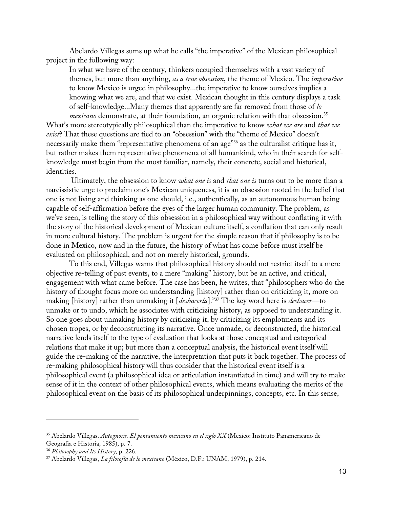Abelardo Villegas sums up what he calls "the imperative" of the Mexican philosophical project in the following way:

In what we have of the century, thinkers occupied themselves with a vast variety of themes, but more than anything, *as a true obsession*, the theme of Mexico. The *imperative*  to know Mexico is urged in philosophy...the imperative to know ourselves implies a knowing what we are, and that we exist. Mexican thought in this century displays a task of self-knowledge...Many themes that apparently are far removed from those of *lo mexicano* demonstrate, at their foundation, an organic relation with that obsession.<sup>35</sup>

What's more stereotypically philosophical than the imperative to know *what we are* and *that we exist*? That these questions are tied to an "obsession" with the "theme of Mexico" doesn't necessarily make them "representative phenomena of an age"<sup>36</sup> as the culturalist critique has it, but rather makes them representative phenomena of all humankind, who in their search for selfknowledge must begin from the most familiar, namely, their concrete, social and historical, identities.

Ultimately, the obsession to know *what one is* and *that one is* turns out to be more than a narcissistic urge to proclaim one's Mexican uniqueness, it is an obsession rooted in the belief that one is not living and thinking as one should, i.e., authentically, as an autonomous human being capable of self-affirmation before the eyes of the larger human community. The problem, as we've seen, is telling the story of this obsession in a philosophical way without conflating it with the story of the historical development of Mexican culture itself, a conflation that can only result in more cultural history. The problem is urgent for the simple reason that if philosophy is to be done in Mexico, now and in the future, the history of what has come before must itself be evaluated on philosophical, and not on merely historical, grounds.

To this end, Villegas warns that philosophical history should not restrict itself to a mere objective re-telling of past events, to a mere "making" history, but be an active, and critical, engagement with what came before. The case has been, he writes, that "philosophers who do the history of thought focus more on understanding [history] rather than on criticizing it, more on making [history] rather than unmaking it [*deshacerla*]."37 The key word here is *deshacer—*to unmake or to undo, which he associates with criticizing history, as opposed to understanding it. So one goes about unmaking history by criticizing it, by criticizing its emplotments and its chosen tropes, or by deconstructing its narrative. Once unmade, or deconstructed, the historical narrative lends itself to the type of evaluation that looks at those conceptual and categorical relations that make it up; but more than a conceptual analysis, the historical event itself will guide the re-making of the narrative, the interpretation that puts it back together. The process of re-making philosophical history will thus consider that the historical event itself is a philosophical event (a philosophical idea or articulation instantiated in time) and will try to make sense of it in the context of other philosophical events, which means evaluating the merits of the philosophical event on the basis of its philosophical underpinnings, concepts, etc. In this sense,

<sup>35</sup> Abelardo Villegas. *Autognosis. El pensamiento mexicano en el siglo XX* (Mexico: Instituto Panamericano de Geografia e Historia, 1985), p. 7.

<sup>&</sup>lt;sup>36</sup> *Philosophy and Its History, p. 226.*<br><sup>37</sup> Abelardo Villegas, *La filosofía de lo mexicano* (México, D.F.: UNAM, 1979), p. 214.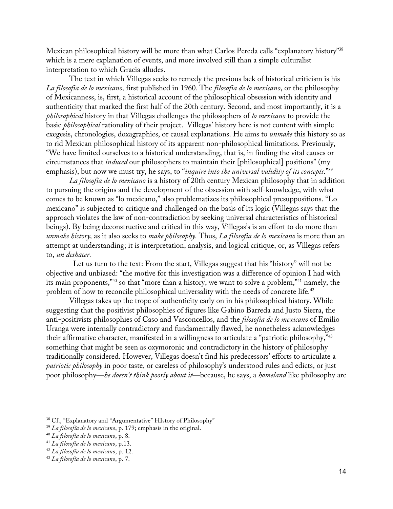Mexican philosophical history will be more than what Carlos Pereda calls "explanatory history"38 which is a mere explanation of events, and more involved still than a simple culturalist interpretation to which Gracia alludes.

The text in which Villegas seeks to remedy the previous lack of historical criticism is his *La filosofia de lo mexicano,* first published in 1960*.* The *filosofia de lo mexicano*, or the philosophy of Mexicanness, is, first, a historical account of the philosophical obsession with identity and authenticity that marked the first half of the 20th century. Second, and most importantly, it is a *philosophical* history in that Villegas challenges the philosophers of *lo mexicano* to provide the basic *philosophical* rationality of their project. Villegas' history here is not content with simple exegesis, chronologies, doxagraphies, or causal explanations. He aims to *unmake* this history so as to rid Mexican philosophical history of its apparent non-philosophical limitations. Previously, "We have limited ourselves to a historical understanding, that is, in finding the vital causes or circumstances that *induced* our philosophers to maintain their [philosophical] positions" (my emphasis), but now we must try, he says, to "*inquire into the universal validity of its concepts*."39

*La filosofía de lo mexicano* is a history of 20th century Mexican philosophy that in addition to pursuing the origins and the development of the obsession with self-knowledge, with what comes to be known as "lo mexicano," also problematizes its philosophical presuppositions. "Lo mexicano" is subjected to critique and challenged on the basis of its logic (Villegas says that the approach violates the law of non-contradiction by seeking universal characteristics of historical beings). By being deconstructive and critical in this way, Villegas's is an effort to do more than *unmake history,* as it also seeks to *make philosophy.* Thus, *La filosofia de lo mexicano* is more than an attempt at understanding; it is interpretation, analysis, and logical critique, or, as Villegas refers to, *un deshacer.*

 Let us turn to the text: From the start, Villegas suggest that his "history" will not be objective and unbiased: "the motive for this investigation was a difference of opinion I had with its main proponents,"40 so that "more than a history, we want to solve a problem,"41 namely, the problem of how to reconcile philosophical universality with the needs of concrete life. 42

Villegas takes up the trope of authenticity early on in his philosophical history. While suggesting that the positivist philosophies of figures like Gabino Barreda and Justo Sierra, the anti-positivists philosophies of Caso and Vasconcellos, and the *filosofia de lo mexicano* of Emilio Uranga were internally contradictory and fundamentally flawed, he nonetheless acknowledges their affirmative character, manifested in a willingness to articulate a "patriotic philosophy,"43 something that might be seen as oxymoronic and contradictory in the history of philosophy traditionally considered. However, Villegas doesn't find his predecessors' efforts to articulate a *patriotic philosophy* in poor taste, or careless of philosophy's understood rules and edicts, or just poor philosophy—*he doesn't think poorly about it*—because, he says, a *homeland* like philosophy are

<sup>38</sup> Cf., "Explanatory and "Argumentative" HIstory of Philosophy"

<sup>39</sup> *La filosofía de lo mexicano*, p. 179; emphasis in the original.

<sup>40</sup> *La filosofía de lo mexicano*, p. 8.

<sup>41</sup> *La filosofía de lo mexicano*, p.13.

<sup>42</sup> *La filosofía de lo mexicano*, p. 12. 43 *La filosofía de lo mexicano*, p. 7.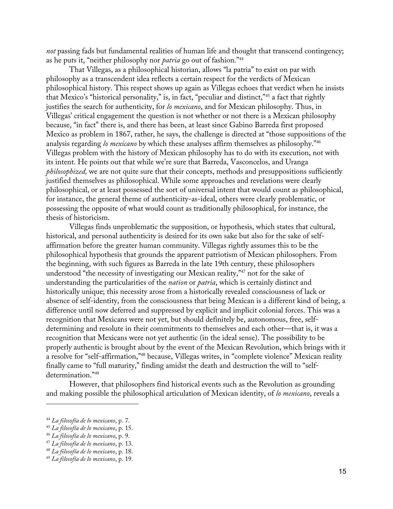*not* passing fads but fundamental realities of human life and thought that transcend contingency; as he puts it, "neither philosophy nor *patria* go out of fashion."44

That Villegas, as a philosophical historian, allows "la patria" to exist on par with philosophy as a transcendent idea reflects a certain respect for the verdicts of Mexican philosophical history. This respect shows up again as Villegas echoes that verdict when he insists that Mexico's "historical personality," is, in fact, "peculiar and distinct,"45 a fact that rightly justifies the search for authenticity, for *lo mexicano*, and for Mexican philosophy. Thus, in Villegas' critical engagement the question is not whether or not there is a Mexican philosophy because, "in fact" there is, and there has been, at least since Gabino Barreda first proposed Mexico as problem in 1867, rather, he says, the challenge is directed at "those suppositions of the analysis regarding *lo mexicano* by which these analyses affirm themselves as philosophy."46 Villegas problem with the history of Mexican philosophy has to do with its execution, not with its intent. He points out that while we're sure that Barreda, Vasconcelos, and Uranga *philosophized,* we are not quite sure that their concepts, methods and presuppositions sufficiently justified themselves as philosophical. While some approaches and revelations were clearly philosophical, or at least possessed the sort of universal intent that would count as philosophical, for instance, the general theme of authenticity-as-ideal, others were clearly problematic, or possessing the opposite of what would count as traditionally philosophical, for instance, the thesis of historicism.

Villegas finds unproblematic the supposition, or hypothesis, which states that cultural, historical, and personal authenticity is desired for its own sake but also for the sake of selfaffirmation before the greater human community. Villegas rightly assumes this to be the philosophical hypothesis that grounds the apparent patriotism of Mexican philosophers. From the beginning, with such figures as Barreda in the late 19th century, these philosophers understood "the necessity of investigating our Mexican reality,"<sup>47</sup> not for the sake of understanding the particularities of the *nation* or *patria*, which is certainly distinct and historically unique; this necessity arose from a historically revealed consciousness of lack or absence of self-identity, from the consciousness that being Mexican is a different kind of being, a difference until now deferred and suppressed by explicit and implicit colonial forces. This was a recognition that Mexicans were not yet, but should definitely be, autonomous, free, selfdetermining and resolute in their commitments to themselves and each other—that is, it was a recognition that Mexicans were not yet authentic (in the ideal sense). The possibility to be properly authentic is brought about by the event of the Mexican Revolution, which brings with it a resolve for "self-affirmation,"48 because, Villegas writes, in "complete violence" Mexican reality finally came to "full maturity," finding amidst the death and destruction the will to "selfdetermination."49

However, that philosophers find historical events such as the Revolution as grounding and making possible the philosophical articulation of Mexican identity, of *lo mexicano*, reveals a

<sup>44</sup> *La filosofía de lo mexicano*, p. 7. 45 *La filosofía de lo mexicano*, p. 15. 46 *La filosofía de lo mexicano*, p. 9.

<sup>47</sup> *La filosofía de lo mexicano*, p. 13.

<sup>48</sup> *La filosofía de lo mexicano*, p. 18.

<sup>49</sup> *La filosofía de lo mexicano*, p. 19.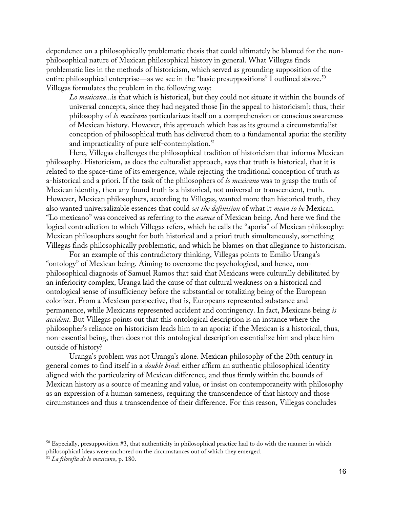dependence on a philosophically problematic thesis that could ultimately be blamed for the nonphilosophical nature of Mexican philosophical history in general. What Villegas finds problematic lies in the methods of historicism, which served as grounding supposition of the entire philosophical enterprise—as we see in the "basic presuppositions" I outlined above. 50 Villegas formulates the problem in the following way:

*Lo mexicano*...is that which is historical, but they could not situate it within the bounds of universal concepts, since they had negated those [in the appeal to historicism]; thus, their philosophy of *lo mexicano* particularizes itself on a comprehension or conscious awareness of Mexican history. However, this approach which has as its ground a circumstantialist conception of philosophical truth has delivered them to a fundamental aporia: the sterility and impracticality of pure self-contemplation.<sup>51</sup>

Here, Villegas challenges the philosophical tradition of historicism that informs Mexican philosophy. Historicism, as does the culturalist approach, says that truth is historical, that it is related to the space-time of its emergence, while rejecting the traditional conception of truth as a-historical and a priori. If the task of the philosophers of *lo mexicano* was to grasp the truth of Mexican identity, then any found truth is a historical, not universal or transcendent, truth. However, Mexican philosophers, according to Villegas, wanted more than historical truth, they also wanted universalizable essences that could *set the definition* of what it *mean to be* Mexican. "Lo mexicano" was conceived as referring to the *essence* of Mexican being. And here we find the logical contradiction to which Villegas refers, which he calls the "aporia" of Mexican philosophy: Mexican philosophers sought for both historical and a priori truth simultaneously, something Villegas finds philosophically problematic, and which he blames on that allegiance to historicism.

For an example of this contradictory thinking, Villegas points to Emilio Uranga's "ontology" of Mexican being. Aiming to overcome the psychological, and hence, nonphilosophical diagnosis of Samuel Ramos that said that Mexicans were culturally debilitated by an inferiority complex, Uranga laid the cause of that cultural weakness on a historical and ontological sense of insufficiency before the substantial or totalizing being of the European colonizer. From a Mexican perspective, that is, Europeans represented substance and permanence, while Mexicans represented accident and contingency. In fact, Mexicans being *is accident.* But Villegas points out that this ontological description is an instance where the philosopher's reliance on historicism leads him to an aporia: if the Mexican is a historical, thus, non-essential being, then does not this ontological description essentialize him and place him outside of history?

Uranga's problem was not Uranga's alone. Mexican philosophy of the 20th century in general comes to find itself in a *double bind*: either affirm an authentic philosophical identity aligned with the particularity of Mexican difference, and thus firmly within the bounds of Mexican history as a source of meaning and value, or insist on contemporaneity with philosophy as an expression of a human sameness, requiring the transcendence of that history and those circumstances and thus a transcendence of their difference. For this reason, Villegas concludes

 $50$  Especially, presupposition #3, that authenticity in philosophical practice had to do with the manner in which philosophical ideas were anchored on the circumstances out of which they emerged.

<sup>51</sup> *La filosofía de lo mexicano*, p. 180.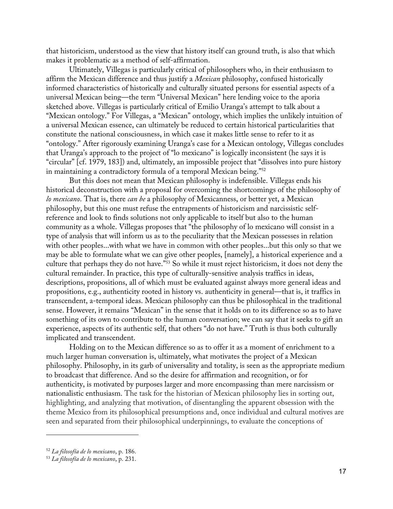that historicism, understood as the view that history itself can ground truth, is also that which makes it problematic as a method of self-affirmation.

Ultimately, Villegas is particularly critical of philosophers who, in their enthusiasm to affirm the Mexican difference and thus justify a *Mexican* philosophy, confused historically informed characteristics of historically and culturally situated persons for essential aspects of a universal Mexican being—the term "Universal Mexican" here lending voice to the aporia sketched above. Villegas is particularly critical of Emilio Uranga's attempt to talk about a "Mexican ontology." For Villegas, a "Mexican" ontology, which implies the unlikely intuition of a universal Mexican essence, can ultimately be reduced to certain historical particularities that constitute the national consciousness, in which case it makes little sense to refer to it as "ontology." After rigorously examining Uranga's case for a Mexican ontology, Villegas concludes that Uranga's approach to the project of "lo mexicano" is logically inconsistent (he says it is "circular" [cf. 1979, 183]) and, ultimately, an impossible project that "dissolves into pure history in maintaining a contradictory formula of a temporal Mexican being."52

But this does not mean that Mexican philosophy is indefensible. Villegas ends his historical deconstruction with a proposal for overcoming the shortcomings of the philosophy of *lo mexicano*. That is, there *can be* a philosophy of Mexicanness, or better yet, a Mexican philosophy, but this one must refuse the entrapments of historicism and narcissistic selfreference and look to finds solutions not only applicable to itself but also to the human community as a whole. Villegas proposes that "the philosophy of lo mexicano will consist in a type of analysis that will inform us as to the peculiarity that the Mexican possesses in relation with other peoples...with what we have in common with other peoples...but this only so that we may be able to formulate what we can give other peoples, [namely], a historical experience and a culture that perhaps they do not have."53 So while it must reject historicism, it does not deny the cultural remainder. In practice, this type of culturally-sensitive analysis traffics in ideas, descriptions, propositions, all of which must be evaluated against always more general ideas and propositions, e.g., authenticity rooted in history vs. authenticity in general—that is, it traffics in transcendent, a-temporal ideas. Mexican philosophy can thus be philosophical in the traditional sense. However, it remains "Mexican" in the sense that it holds on to its difference so as to have something of its own to contribute to the human conversation; we can say that it seeks to gift an experience, aspects of its authentic self, that others "do not have." Truth is thus both culturally implicated and transcendent.

Holding on to the Mexican difference so as to offer it as a moment of enrichment to a much larger human conversation is, ultimately, what motivates the project of a Mexican philosophy. Philosophy, in its garb of universality and totality, is seen as the appropriate medium to broadcast that difference. And so the desire for affirmation and recognition, or for authenticity, is motivated by purposes larger and more encompassing than mere narcissism or nationalistic enthusiasm. The task for the historian of Mexican philosophy lies in sorting out, highlighting, and analyzing that motivation, of disentangling the apparent obsession with the theme Mexico from its philosophical presumptions and, once individual and cultural motives are seen and separated from their philosophical underpinnings, to evaluate the conceptions of

<sup>52</sup> *La filosofía de lo mexicano*, p. 186.

<sup>53</sup> *La filosofía de lo mexicano*, p. 231.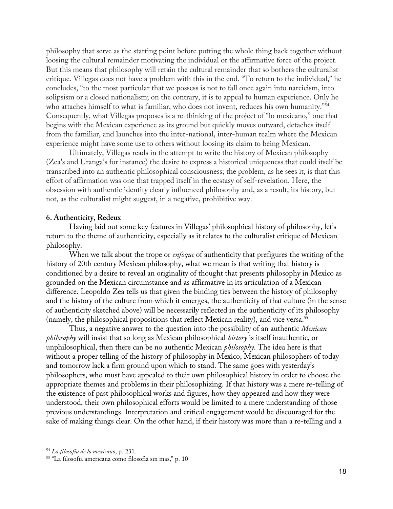philosophy that serve as the starting point before putting the whole thing back together without loosing the cultural remainder motivating the individual or the affirmative force of the project. But this means that philosophy will retain the cultural remainder that so bothers the culturalist critique. Villegas does not have a problem with this in the end. "To return to the individual," he concludes, "to the most particular that we possess is not to fall once again into narcicism, into solipsism or a closed nationalism; on the contrary, it is to appeal to human experience. Only he who attaches himself to what is familiar, who does not invent, reduces his own humanity."<sup>54</sup> Consequently, what Villegas proposes is a re-thinking of the project of "lo mexicano," one that begins with the Mexican experience as its ground but quickly moves outward, detaches itself from the familiar, and launches into the inter-national, inter-human realm where the Mexican experience might have some use to others without loosing its claim to being Mexican.

Ultimately, Villegas reads in the attempt to write the history of Mexican philosophy (Zea's and Uranga's for instance) the desire to express a historical uniqueness that could itself be transcribed into an authentic philosophical consciousness; the problem, as he sees it, is that this effort of affirmation was one that trapped itself in the ecstasy of self-revelation. Here, the obsession with authentic identity clearly influenced philosophy and, as a result, its history, but not, as the culturalist might suggest, in a negative, prohibitive way.

#### **6. Authenticity, Redeux**

Having laid out some key features in Villegas' philosophical history of philosophy, let's return to the theme of authenticity, especially as it relates to the culturalist critique of Mexican philosophy.

When we talk about the trope or *enfoque* of authenticity that prefigures the writing of the history of 20th century Mexican philosophy, what we mean is that writing that history is conditioned by a desire to reveal an originality of thought that presents philosophy in Mexico as grounded on the Mexican circumstance and as affirmative in its articulation of a Mexican difference. Leopoldo Zea tells us that given the binding ties between the history of philosophy and the history of the culture from which it emerges, the authenticity of that culture (in the sense of authenticity sketched above) will be necessarily reflected in the authenticity of its philosophy (namely, the philosophical propositions that reflect Mexican reality), and vice versa.55

Thus, a negative answer to the question into the possibility of an authentic *Mexican philosophy* will insist that so long as Mexican philosophical *history* is itself inauthentic, or unphilosophical, then there can be no authentic Mexican *philosophy*. The idea here is that without a proper telling of the history of philosophy in Mexico, Mexican philosophers of today and tomorrow lack a firm ground upon which to stand. The same goes with yesterday's philosophers, who must have appealed to their own philosophical history in order to choose the appropriate themes and problems in their philosophizing. If that history was a mere re-telling of the existence of past philosophical works and figures, how they appeared and how they were understood, their own philosophical efforts would be limited to a mere understanding of those previous understandings. Interpretation and critical engagement would be discouraged for the sake of making things clear. On the other hand, if their history was more than a re-telling and a

<sup>54</sup> *La filosofía de lo mexicano*, p. 231.

<sup>55</sup> "La filosofia americana como filosofia sin mas," p. 10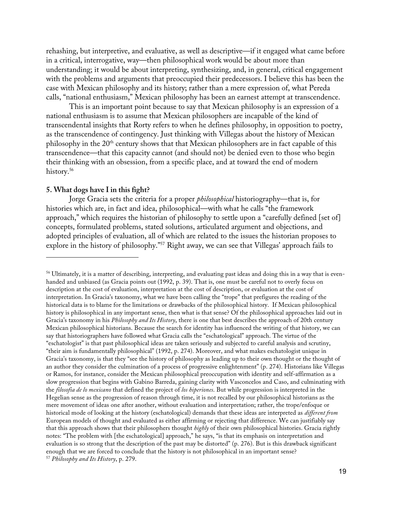rehashing, but interpretive, and evaluative, as well as descriptive—if it engaged what came before in a critical, interrogative, way—then philosophical work would be about more than understanding; it would be about interpreting, synthesizing, and, in general, critical engagement with the problems and arguments that preoccupied their predecessors. I believe this has been the case with Mexican philosophy and its history; rather than a mere expression of, what Pereda calls, "national enthusiasm," Mexican philosophy has been an earnest attempt at transcendence.

This is an important point because to say that Mexican philosophy is an expression of a national enthusiasm is to assume that Mexican philosophers are incapable of the kind of transcendental insights that Rorty refers to when he defines philosophy, in opposition to poetry, as the transcendence of contingency. Just thinking with Villegas about the history of Mexican philosophy in the 20<sup>th</sup> century shows that that Mexican philosophers are in fact capable of this transcendence—that this capacity cannot (and should not) be denied even to those who begin their thinking with an obsession, from a specific place, and at toward the end of modern history. 56

## **5. What dogs have I in this fight?**

Jorge Gracia sets the criteria for a proper *philosophical* historiography—that is, for histories which are, in fact and idea, philosophical—with what he calls "the framework approach," which requires the historian of philosophy to settle upon a "carefully defined [set of] concepts, formulated problems, stated solutions, articulated argument and objections, and adopted principles of evaluation, all of which are related to the issues the historian proposes to explore in the history of philosophy."57 Right away, we can see that Villegas' approach fails to

<sup>56</sup> Ultimately, it is a matter of describing, interpreting, and evaluating past ideas and doing this in a way that is evenhanded and unbiased (as Gracia points out (1992, p. 39). That is, one must be careful not to overly focus on description at the cost of evaluation, interpretation at the cost of description, or evaluation at the cost of interpretation. In Gracia's taxonomy, what we have been calling the "trope" that prefigures the reading of the historical data is to blame for the limitations or drawbacks of the philosophical history. If Mexican philosophical history is philosophical in any important sense, then what is that sense? Of the philosophical approaches laid out in Gracia's taxonomy in his *Philosophy and Its History*, there is one that best describes the approach of 20th century Mexican philosophical historians. Because the search for identity has influenced the writing of that history, we can say that historiographers have followed what Gracia calls the "eschatological" approach. The virtue of the "eschatologist" is that past philosophical ideas are taken seriously and subjected to careful analysis and scrutiny, "their aim is fundamentally philosophical" (1992, p. 274). Moreover, and what makes eschatologist unique in Gracia's taxonomy, is that they "see the history of philosophy as leading up to their own thought or the thought of an author they consider the culmination of a process of progressive enlightenment" (p. 274). Historians like Villegas or Ramos, for instance, consider the Mexican philosophical preoccupation with identity and self-affirmation as a slow progression that begins with Gabino Barreda, gaining clarity with Vasconcelos and Caso, and culminating with the *filosofia de lo mexicano* that defined the project of *los hiperiones*. But while progression is interpreted in the Hegelian sense as the progression of reason through time, it is not recalled by our philosophical historians as the mere movement of ideas one after another, without evaluation and interpretation; rather, the trope/enfoque or historical mode of looking at the history (eschatological) demands that these ideas are interpreted as *different from*  European models of thought and evaluated as either affirming or rejecting that difference. We can justifiably say that this approach shows that their philosophers thought *highly* of their own philosophical histories. Gracia rightly notes: "The problem with [the eschatological] approach," he says, "is that its emphasis on interpretation and evaluation is so strong that the description of the past may be distorted" (p. 276). But is this drawback significant enough that we are forced to conclude that the history is not philosophical in an important sense? <sup>57</sup> *Philosophy and Its History*, p. 279.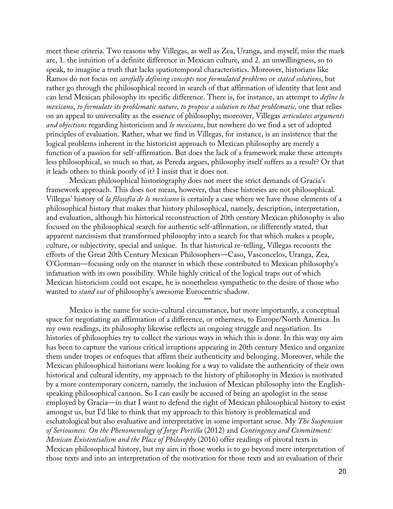meet these criteria. Two reasons why Villegas, as well as Zea, Uranga, and myself, miss the mark are, 1. the intuition of a definite difference in Mexican culture, and 2. an unwillingness, so to speak, to imagine a truth that lacks spatiotemporal characteristics. Moreover, historians like Ramos do not focus on *carefully defining concepts* nor *formulated problems* or *stated solutions*, but rather go through the philosophical record in search of that affirmation of identity that lent and can lend Mexican philosophy its specific difference. There is, for instance, an attempt to *define lo mexicano*, *to formulate its problematic nature, to propose a solution to that problematic,* one that relies on an appeal to universality as the essence of philosophy; moreover, Villegas *articulates arguments and objections* regarding historicism and *lo mexicano*, but nowhere do we find a set of adopted principles of evaluation. Rather, what we find in Villegas, for instance, is an insistence that the logical problems inherent in the historicist approach to Mexican philosophy are merely a function of a passion for self-affirmation. But does the lack of a framework make these attempts less philosophical, so much so that, as Pereda argues, philosophy itself suffers as a result? Or that it leads others to think poorly of it? I insist that it does not.

Mexican philosophical historiography does not meet the strict demands of Gracia's framework approach. This does not mean, however, that these histories are not philosophical. Villegas' history of *la filosofia de lo mexicano* is certainly a case where we have those elements of a philosophical history that makes that history philosophical, namely, description, interpretation, and evaluation, although his historical reconstruction of 20th century Mexican philosophy is also focused on the philosophical search for authentic self-affirmation, or differently stated, that apparent narcissism that transformed philosophy into a search for that which makes a people, culture, or subjectivity, special and unique. In that historical re-telling, Villegas recounts the efforts of the Great 20th Century Mexican Philosophers—Caso, Vasconcelos, Uranga, Zea, O'Gorman—focusing only on the manner in which these contributed to Mexican philosophy's infatuation with its own possibility. While highly critical of the logical traps out of which Mexican historicism could not escape, he is nonetheless sympathetic to the desire of those who wanted to *stand out* of philosophy's awesome Eurocentric shadow.

\*\*\*

Mexico is the name for socio-cultural circumstance, but more importantly, a conceptual space for negotiating an affirmation of a difference, or otherness, to Europe/North America. In my own readings, its philosophy likewise reflects an ongoing struggle and negotiation. Its histories of philosophies try to collect the various ways in which this is done. In this way my aim has been to capture the various critical irruptions appearing in 20th century Mexico and organize them under tropes or enfoques that affirm their authenticity and belonging. Moreover, while the Mexican philosophical historians were looking for a way to validate the authenticity of their own historical and cultural identity, my approach to the history of philosophy in Mexico is motivated by a more contemporary concern, namely, the inclusion of Mexican philosophy into the Englishspeaking philosophical cannon. So I can easily be accused of being an apologist in the sense employed by Gracia—in that I want to defend the right of Mexican philosophical history to exist amongst us, but I'd like to think that my approach to this history is problematical and eschatological but also evaluative and interpretative in some important sense. My *The Suspension of Seriousness: On the Phenomenology of Jorge Portilla* (2012) and *Contingency and Commitment: Mexican Existentialism and the Place of Philosophy* (2016) offer readings of pivotal texts in Mexican philosophical history, but my aim in those works is to go beyond mere interpretation of those texts and into an interpretation of the motivation for those texts and an evaluation of their